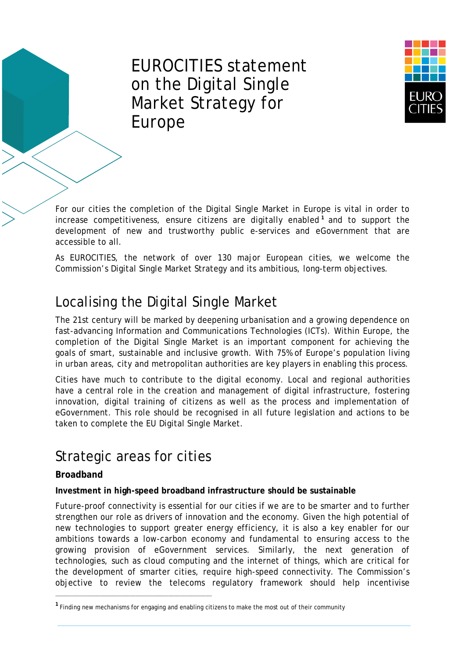# EUROCITIES statement on the Digital Single Market Strategy for Europe



For our cities the completion of the Digital Single Market in Europe is vital in order to increase competitiveness, ensure citizens are digitally enabled **[1](#page-0-0)** and to support the development of new and trustworthy public e-services and eGovernment that are accessible to all.

As EUROCITIES, the network of over 130 major European cities, we welcome the Commission's Digital Single Market Strategy and its ambitious, long-term objectives.

# Localising the Digital Single Market

The 21st century will be marked by deepening urbanisation and a growing dependence on fast-advancing Information and Communications Technologies (ICTs). Within Europe, the completion of the Digital Single Market is an important component for achieving the goals of smart, sustainable and inclusive growth. With 75% of Europe's population living in urban areas, city and metropolitan authorities are key players in enabling this process.

Cities have much to contribute to the digital economy. Local and regional authorities have a central role in the creation and management of digital infrastructure, fostering innovation, digital training of citizens as well as the process and implementation of eGovernment. This role should be recognised in all future legislation and actions to be taken to complete the EU Digital Single Market.

# Strategic areas for cities

––––––––––––––––––––––––––––––––––––––––––––––––––––––––––––––––––––––––

# **Broadband**

## **Investment in high-speed broadband infrastructure should be sustainable**

Future-proof connectivity is essential for our cities if we are to be smarter and to further strengthen our role as drivers of innovation and the economy. Given the high potential of new technologies to support greater energy efficiency, it is also a key enabler for our ambitions towards a low-carbon economy and fundamental to ensuring access to the growing provision of eGovernment services. Similarly, the next generation of technologies, such as cloud computing and the internet of things, which are critical for the development of smarter cities, require high-speed connectivity. The Commission's objective to review the telecoms regulatory framework should help incentivise

<span id="page-0-0"></span>**<sup>1</sup>** Finding new mechanisms for engaging and enabling citizens to make the most out of their community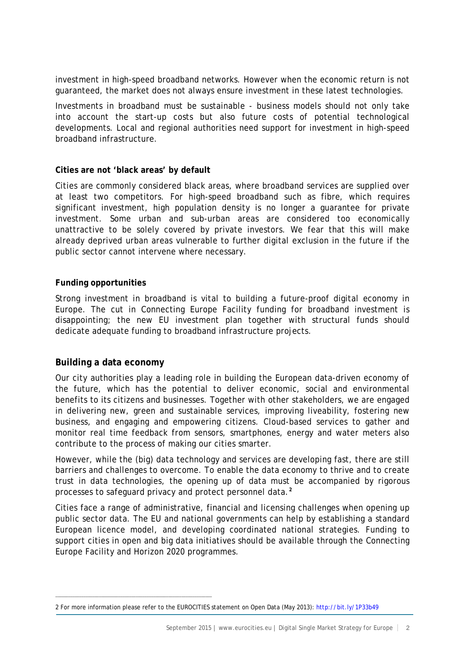investment in high-speed broadband networks. However when the economic return is not guaranteed, the market does not always ensure investment in these latest technologies.

Investments in broadband must be sustainable - business models should not only take into account the start-up costs but also future costs of potential technological developments. Local and regional authorities need support for investment in high-speed broadband infrastructure.

#### **Cities are not 'black areas' by default**

Cities are commonly considered black areas, where broadband services are supplied over at least two competitors. For high-speed broadband such as fibre, which requires significant investment, high population density is no longer a guarantee for private investment. Some urban and sub-urban areas are considered too economically unattractive to be solely covered by private investors. We fear that this will make already deprived urban areas vulnerable to further digital exclusion in the future if the public sector cannot intervene where necessary.

#### **Funding opportunities**

Strong investment in broadband is vital to building a future-proof digital economy in Europe. The cut in Connecting Europe Facility funding for broadband investment is disappointing; the new EU investment plan together with structural funds should dedicate adequate funding to broadband infrastructure projects.

#### **Building a data economy**

––––––––––––––––––––––––––––––––––––––––––––––––––––––––––––––––––––––––

Our city authorities play a leading role in building the European data-driven economy of the future, which has the potential to deliver economic, social and environmental benefits to its citizens and businesses. Together with other stakeholders, we are engaged in delivering new, green and sustainable services, improving liveability, fostering new business, and engaging and empowering citizens. Cloud-based services to gather and monitor real time feedback from sensors, smartphones, energy and water meters also contribute to the process of making our cities smarter.

However, while the (big) data technology and services are developing fast, there are still barriers and challenges to overcome. To enable the data economy to thrive and to create trust in data technologies, the opening up of data must be accompanied by rigorous processes to safeguard privacy and protect personnel data.**[2](#page-1-0)**

Cities face a range of administrative, financial and licensing challenges when opening up public sector data. The EU and national governments can help by establishing a standard European licence model, and developing coordinated national strategies. Funding to support cities in open and big data initiatives should be available through the Connecting Europe Facility and Horizon 2020 programmes.

<span id="page-1-0"></span><sup>2</sup> For more information please refer to the EUROCITIES statement on Open Data (May 2013):<http://bit.ly/1P33b49>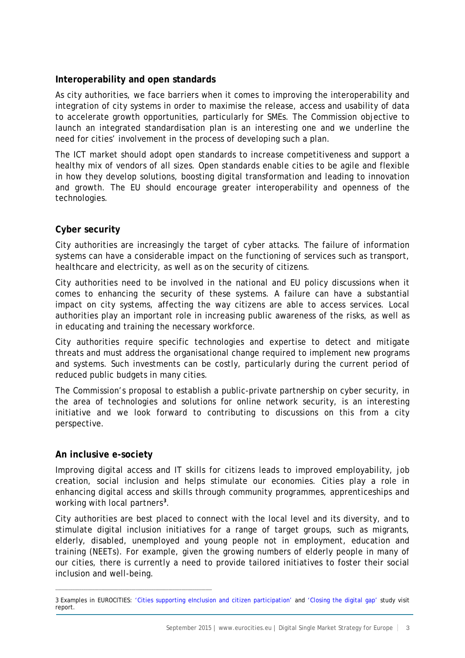### **Interoperability and open standards**

As city authorities, we face barriers when it comes to improving the interoperability and integration of city systems in order to maximise the release, access and usability of data to accelerate growth opportunities, particularly for SMEs. The Commission objective to launch an integrated standardisation plan is an interesting one and we underline the need for cities' involvement in the process of developing such a plan.

The ICT market should adopt open standards to increase competitiveness and support a healthy mix of vendors of all sizes. Open standards enable cities to be agile and flexible in how they develop solutions, boosting digital transformation and leading to innovation and growth. The EU should encourage greater interoperability and openness of the technologies.

## **Cyber security**

City authorities are increasingly the target of cyber attacks. The failure of information systems can have a considerable impact on the functioning of services such as transport, healthcare and electricity, as well as on the security of citizens.

City authorities need to be involved in the national and EU policy discussions when it comes to enhancing the security of these systems. A failure can have a substantial impact on city systems, affecting the way citizens are able to access services. Local authorities play an important role in increasing public awareness of the risks, as well as in educating and training the necessary workforce.

City authorities require specific technologies and expertise to detect and mitigate threats and must address the organisational change required to implement new programs and systems. Such investments can be costly, particularly during the current period of reduced public budgets in many cities.

The Commission's proposal to establish a public-private partnership on cyber security, in the area of technologies and solutions for online network security, is an interesting initiative and we look forward to contributing to discussions on this from a city perspective.

#### **An inclusive e-society**

––––––––––––––––––––––––––––––––––––––––––––––––––––––––––––––––––––––––

Improving digital access and IT skills for citizens leads to improved employability, job creation, social inclusion and helps stimulate our economies. Cities play a role in enhancing digital access and skills through community programmes, apprenticeships and working with local partners**[3](#page-2-0)** .

City authorities are best placed to connect with the local level and its diversity, and to stimulate digital inclusion initiatives for a range of target groups, such as migrants, elderly, disabled, unemployed and young people not in employment, education and training (NEETs). For example, given the growing numbers of elderly people in many of our cities, there is currently a need to provide tailored initiatives to foster their social inclusion and well-being.

<span id="page-2-0"></span><sup>3</sup> Examples in EUROCITIES: ['Cities supporting eInclusion and citizen participation'](http://wsdomino.eurocities.eu/eurocities/documents/Cities-supporting-eInclusion-and-citizen-participation-WSPO-9DP7L3) and ['Closing the digital gap'](http://wsdomino.eurocities.eu/eurocities/news/-Closing-the-digital-gap-study-visit-report-WSPO-9UAHST) study visit report.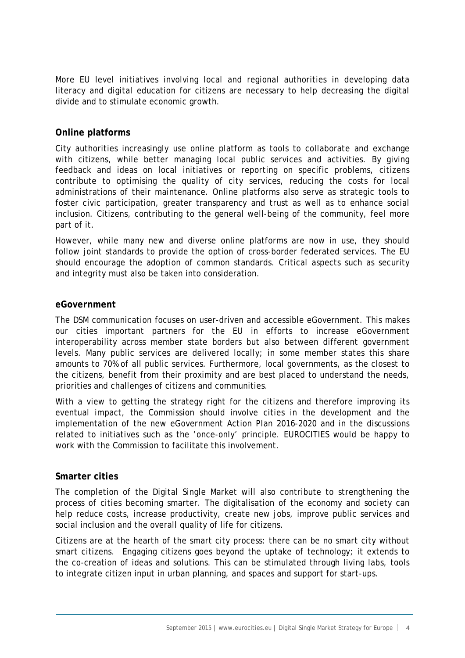More EU level initiatives involving local and regional authorities in developing data literacy and digital education for citizens are necessary to help decreasing the digital divide and to stimulate economic growth.

## **Online platforms**

City authorities increasingly use online platform as tools to collaborate and exchange with citizens, while better managing local public services and activities. By giving feedback and ideas on local initiatives or reporting on specific problems, citizens contribute to optimising the quality of city services, reducing the costs for local administrations of their maintenance. Online platforms also serve as strategic tools to foster civic participation, greater transparency and trust as well as to enhance social inclusion. Citizens, contributing to the general well-being of the community, feel more part of it.

However, while many new and diverse online platforms are now in use, they should follow joint standards to provide the option of cross-border federated services. The EU should encourage the adoption of common standards. Critical aspects such as security and integrity must also be taken into consideration.

#### **eGovernment**

The DSM communication focuses on user-driven and accessible eGovernment. This makes our cities important partners for the EU in efforts to increase eGovernment interoperability across member state borders but also between different government levels. Many public services are delivered locally; in some member states this share amounts to 70% of all public services. Furthermore, local governments, as the closest to the citizens, benefit from their proximity and are best placed to understand the needs, priorities and challenges of citizens and communities.

With a view to getting the strategy right for the citizens and therefore improving its eventual impact, the Commission should involve cities in the development and the implementation of the new eGovernment Action Plan 2016-2020 and in the discussions related to initiatives such as the 'once-only' principle. EUROCITIES would be happy to work with the Commission to facilitate this involvement.

#### **Smarter cities**

The completion of the Digital Single Market will also contribute to strengthening the process of cities becoming smarter. The digitalisation of the economy and society can help reduce costs, increase productivity, create new jobs, improve public services and social inclusion and the overall quality of life for citizens.

Citizens are at the hearth of the smart city process: there can be no smart city without smart citizens. Engaging citizens goes beyond the uptake of technology; it extends to the co-creation of ideas and solutions. This can be stimulated through living labs, tools to integrate citizen input in urban planning, and spaces and support for start-ups.